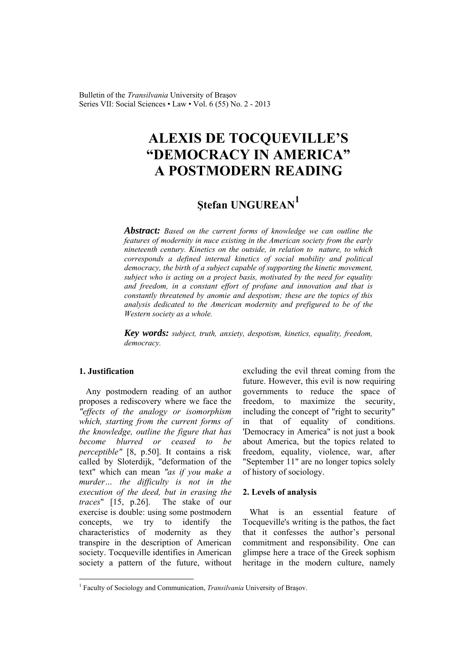Bulletin of the *Transilvania* University of Braşov Series VII: Social Sciences • Law • Vol. 6 (55) No. 2 - 2013

# **ALEXIS DE TOCQUEVILLE'S "DEMOCRACY IN AMERICA" A POSTMODERN READING**

# **<sup>Ş</sup>tefan UNGUREAN1**

*Abstract: Based on the current forms of knowledge we can outline the features of modernity in nuce existing in the American society from the early nineteenth century. Kinetics on the outside, in relation to nature, to which corresponds a defined internal kinetics of social mobility and political democracy, the birth of a subject capable of supporting the kinetic movement, subject who is acting on a project basis, motivated by the need for equality and freedom, in a constant effort of profane and innovation and that is constantly threatened by anomie and despotism; these are the topics of this analysis dedicated to the American modernity and prefigured to be of the Western society as a whole.* 

*Key words: subject, truth, anxiety, despotism, kinetics, equality, freedom, democracy.*

## **1. Justification**

 $\overline{a}$ 

Any postmodern reading of an author proposes a rediscovery where we face the *"effects of the analogy or isomorphism which, starting from the current forms of the knowledge, outline the figure that has become blurred or ceased to be perceptible"* [8, p.50]. It contains a risk called by Sloterdijk, "deformation of the text" which can mean *"as if you make a murder… the difficulty is not in the execution of the deed, but in erasing the traces*" [15, p.26]. The stake of our exercise is double: using some postmodern concepts, we try to identify the characteristics of modernity as they transpire in the description of American society. Tocqueville identifies in American society a pattern of the future, without

excluding the evil threat coming from the future. However, this evil is now requiring governments to reduce the space of freedom, to maximize the security, including the concept of "right to security" in that of equality of conditions. 'Democracy in America" is not just a book about America, but the topics related to freedom, equality, violence, war, after "September 11" are no longer topics solely of history of sociology.

#### **2. Levels of analysis**

What is an essential feature of Tocqueville's writing is the pathos, the fact that it confesses the author's personal commitment and responsibility. One can glimpse here a trace of the Greek sophism heritage in the modern culture, namely

<sup>&</sup>lt;sup>1</sup> Faculty of Sociology and Communication, *Transilvania* University of Brașov.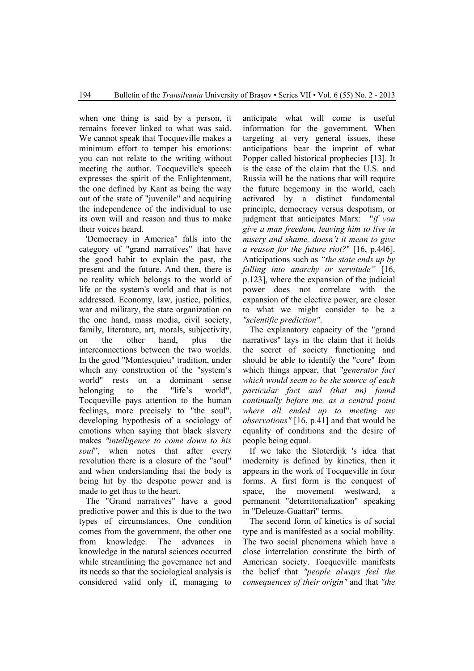when one thing is said by a person, it remains forever linked to what was said. We cannot speak that Tocqueville makes a minimum effort to temper his emotions: you can not relate to the writing without meeting the author. Tocqueville's speech expresses the spirit of the Enlightenment, the one defined by Kant as being the way out of the state of "juvenile" and acquiring the independence of the individual to use its own will and reason and thus to make their voices heard.

'Democracy in America" falls into the category of "grand narratives" that have the good habit to explain the past, the present and the future. And then, there is no reality which belongs to the world of life or the system's world and that is not addressed. Economy, law, justice, politics, war and military, the state organization on the one hand, mass media, civil society, family, literature, art, morals, subjectivity, on the other hand, plus the interconnections between the two worlds. In the good "Montesquieu" tradition, under which any construction of the "system's world" rests on a dominant sense belonging to the "life's world", Tocqueville pays attention to the human feelings, more precisely to "the soul", developing hypothesis of a sociology of emotions when saying that black slavery makes *"intelligence to come down to his soul*", when notes that after every revolution there is a closure of the "soul" and when understanding that the body is being hit by the despotic power and is made to get thus to the heart.

The "Grand narratives" have a good predictive power and this is due to the two types of circumstances. One condition comes from the government, the other one from knowledge. The advances in knowledge in the natural sciences occurred while streamlining the governance act and its needs so that the sociological analysis is considered valid only if, managing to

anticipate what will come is useful information for the government. When targeting at very general issues, these anticipations bear the imprint of what Popper called historical prophecies [13]. It is the case of the claim that the U.S. and Russia will be the nations that will require the future hegemony in the world, each activated by a distinct fundamental principle, democracy versus despotism, or judgment that anticipates Marx: "*if you give a man freedom, leaving him to live in misery and shame, doesn't it mean to give a reason for the future riot?*" [16, p.446]. Anticipations such as *"the state ends up by falling into anarchy or servitude"* [16, p.123], where the expansion of the judicial power does not correlate with the expansion of the elective power, are closer to what we might consider to be a *"scientific prediction"*.

The explanatory capacity of the "grand narratives" lays in the claim that it holds the secret of society functioning and should be able to identify the "core" from which things appear, that "*generator fact which would seem to be the source of each particular fact and (that nn) found continually before me, as a central point where all ended up to meeting my observations"* [16, p.41] and that would be equality of conditions and the desire of people being equal.

If we take the Sloterdijk 's idea that modernity is defined by kinetics, then it appears in the work of Tocqueville in four forms. A first form is the conquest of space, the movement westward, a permanent "deterritorialization" speaking in "Deleuze-Guattari" terms.

The second form of kinetics is of social type and is manifested as a social mobility. The two social phenomena which have a close interrelation constitute the birth of American society. Tocqueville manifests the belief that *"people always feel the consequences of their origin"* and that *"the*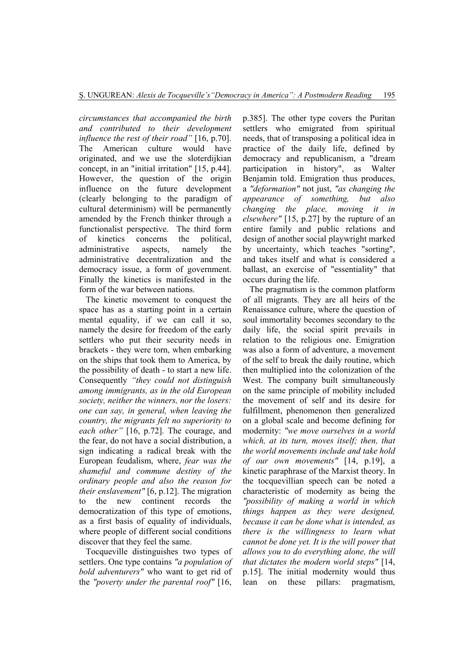*circumstances that accompanied the birth and contributed to their development influence the rest of their road"* [16, p.70]. The American culture would have originated, and we use the sloterdijkian concept, in an "initial irritation" [15, p.44]. However, the question of the origin influence on the future development (clearly belonging to the paradigm of cultural determinism) will be permanently amended by the French thinker through a functionalist perspective. The third form of kinetics concerns the political, administrative aspects, namely the administrative decentralization and the democracy issue, a form of government. Finally the kinetics is manifested in the form of the war between nations.

The kinetic movement to conquest the space has as a starting point in a certain mental equality, if we can call it so, namely the desire for freedom of the early settlers who put their security needs in brackets - they were torn, when embarking on the ships that took them to America, by the possibility of death - to start a new life. Consequently *"they could not distinguish among immigrants, as in the old European society, neither the winners, nor the losers: one can say, in general, when leaving the country, the migrants felt no superiority to each other"* [16, p.72]. The courage, and the fear, do not have a social distribution, a sign indicating a radical break with the European feudalism, where, *fear was the shameful and commune destiny of the ordinary people and also the reason for their enslavement"* [6, p.12]. The migration to the new continent records the democratization of this type of emotions, as a first basis of equality of individuals, where people of different social conditions discover that they feel the same.

Tocqueville distinguishes two types of settlers. One type contains *"a population of bold adventurers"* who want to get rid of the *"poverty under the parental roof"* [16,

p.385]. The other type covers the Puritan settlers who emigrated from spiritual needs, that of transposing a political idea in practice of the daily life, defined by democracy and republicanism, a "dream participation in history", as Walter Benjamin told. Emigration thus produces, a *"deformation"* not just, *"as changing the appearance of something, but also changing the place, moving it in elsewhere"* [15, p.27] by the rupture of an entire family and public relations and design of another social playwright marked by uncertainty, which teaches "sorting", and takes itself and what is considered a ballast, an exercise of "essentiality" that occurs during the life.

The pragmatism is the common platform of all migrants. They are all heirs of the Renaissance culture, where the question of soul immortality becomes secondary to the daily life, the social spirit prevails in relation to the religious one. Emigration was also a form of adventure, a movement of the self to break the daily routine, which then multiplied into the colonization of the West. The company built simultaneously on the same principle of mobility included the movement of self and its desire for fulfillment, phenomenon then generalized on a global scale and become defining for modernity: *"we move ourselves in a world which, at its turn, moves itself; then, that the world movements include and take hold of our own movements"* [14, p.19], a kinetic paraphrase of the Marxist theory. In the tocquevillian speech can be noted a characteristic of modernity as being the *"possibility of making a world in which things happen as they were designed, because it can be done what is intended, as there is the willingness to learn what cannot be done yet. It is the will power that allows you to do everything alone, the will that dictates the modern world steps"* [14, p.15]. The initial modernity would thus lean on these pillars: pragmatism,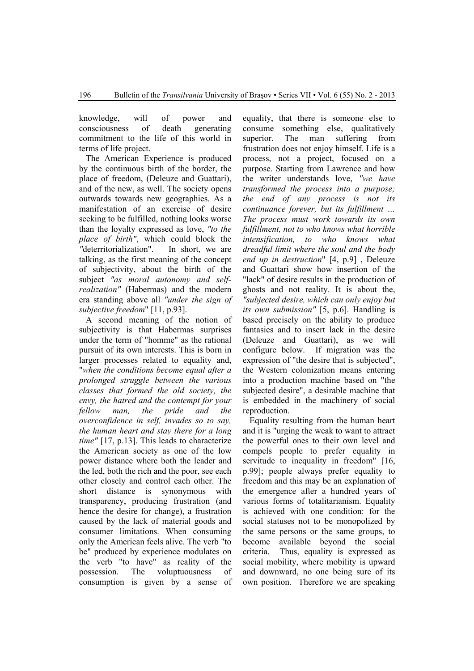knowledge, will of power and consciousness of death generating commitment to the life of this world in terms of life project.

The American Experience is produced by the continuous birth of the border, the place of freedom, (Deleuze and Guattari), and of the new, as well. The society opens outwards towards new geographies. As a manifestation of an exercise of desire seeking to be fulfilled, nothing looks worse than the loyalty expressed as love, *"to the place of birth"*, which could block the *"*deterritorialization". In short, we are talking, as the first meaning of the concept of subjectivity, about the birth of the subject *"as moral autonomy and selfrealization"* (Habermas) and the modern era standing above all *"under the sign of subjective freedom*" [11, p.93].

A second meaning of the notion of subjectivity is that Habermas surprises under the term of "homme" as the rational pursuit of its own interests. This is born in larger processes related to equality and, "*when the conditions become equal after a prolonged struggle between the various classes that formed the old society, the envy, the hatred and the contempt for your fellow man, the pride and the overconfidence in self, invades so to say, the human heart and stay there for a long time"* [17, p.13]. This leads to characterize the American society as one of the low power distance where both the leader and the led, both the rich and the poor, see each other closely and control each other. The short distance is synonymous with transparency, producing frustration (and hence the desire for change), a frustration caused by the lack of material goods and consumer limitations. When consuming only the American feels alive. The verb "to be" produced by experience modulates on the verb "to have" as reality of the possession. The voluptuousness of consumption is given by a sense of

equality, that there is someone else to consume something else, qualitatively superior. The man suffering from frustration does not enjoy himself. Life is a process, not a project, focused on a purpose. Starting from Lawrence and how the writer understands love, *"we have transformed the process into a purpose; the end of any process is not its continuance forever, but its fulfillment … The process must work towards its own fulfillment, not to who knows what horrible intensification, to who knows what dreadful limit where the soul and the body end up in destruction*" [4, p.9] , Deleuze and Guattari show how insertion of the "lack" of desire results in the production of ghosts and not reality. It is about the, *"subjected desire, which can only enjoy but its own submission"* [5, p.6]. Handling is based precisely on the ability to produce fantasies and to insert lack in the desire (Deleuze and Guattari), as we will configure below. If migration was the expression of "the desire that is subjected", the Western colonization means entering into a production machine based on "the subjected desire", a desirable machine that is embedded in the machinery of social reproduction.

Equality resulting from the human heart and it is "urging the weak to want to attract the powerful ones to their own level and compels people to prefer equality in servitude to inequality in freedom" [16, p.99]; people always prefer equality to freedom and this may be an explanation of the emergence after a hundred years of various forms of totalitarianism. Equality is achieved with one condition: for the social statuses not to be monopolized by the same persons or the same groups, to become available beyond the social criteria. Thus, equality is expressed as social mobility, where mobility is upward and downward, no one being sure of its own position. Therefore we are speaking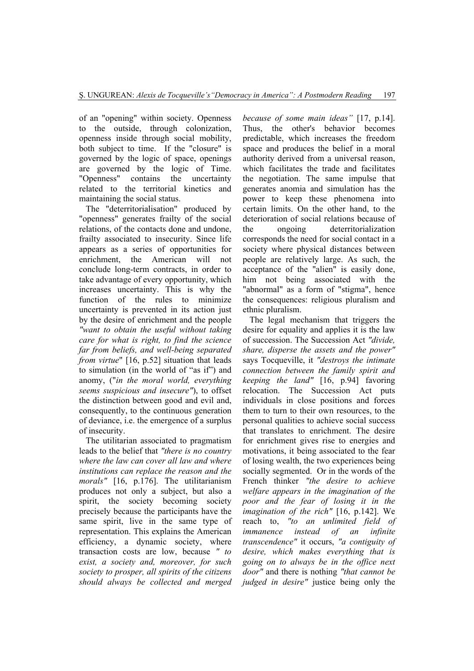of an "opening" within society. Openness to the outside, through colonization, openness inside through social mobility, both subject to time. If the "closure" is governed by the logic of space, openings are governed by the logic of Time. "Openness" contains the uncertainty related to the territorial kinetics and maintaining the social status.

The "deterritorialisation" produced by "openness" generates frailty of the social relations, of the contacts done and undone, frailty associated to insecurity. Since life appears as a series of opportunities for enrichment, the American will not conclude long-term contracts, in order to take advantage of every opportunity, which increases uncertainty. This is why the function of the rules to minimize uncertainty is prevented in its action just by the desire of enrichment and the people *"want to obtain the useful without taking care for what is right, to find the science far from beliefs, and well-being separated from virtue*" [16, p.52] situation that leads to simulation (in the world of "as if") and anomy, ("*in the moral world, everything seems suspicious and insecure"*), to offset the distinction between good and evil and, consequently, to the continuous generation of deviance, i.e. the emergence of a surplus of insecurity.

The utilitarian associated to pragmatism leads to the belief that *"there is no country where the law can cover all law and where institutions can replace the reason and the morals"* [16, p.176]. The utilitarianism produces not only a subject, but also a spirit, the society becoming society precisely because the participants have the same spirit, live in the same type of representation. This explains the American efficiency, a dynamic society, where transaction costs are low, because *" to exist, a society and, moreover, for such society to prosper, all spirits of the citizens should always be collected and merged* 

*because of some main ideas"* [17, p.14]. Thus, the other's behavior becomes predictable, which increases the freedom space and produces the belief in a moral authority derived from a universal reason, which facilitates the trade and facilitates the negotiation. The same impulse that generates anomia and simulation has the power to keep these phenomena into certain limits. On the other hand, to the deterioration of social relations because of the ongoing deterritorialization corresponds the need for social contact in a society where physical distances between people are relatively large. As such, the acceptance of the "alien" is easily done, him not being associated with the "abnormal" as a form of "stigma", hence the consequences: religious pluralism and ethnic pluralism.

The legal mechanism that triggers the desire for equality and applies it is the law of succession. The Succession Act *"divide, share, disperse the assets and the power"*  says Tocqueville, it *"destroys the intimate connection between the family spirit and keeping the land"* [16, p.94] favoring relocation. The Succession Act puts individuals in close positions and forces them to turn to their own resources, to the personal qualities to achieve social success that translates to enrichment. The desire for enrichment gives rise to energies and motivations, it being associated to the fear of losing wealth, the two experiences being socially segmented. Or in the words of the French thinker *"the desire to achieve welfare appears in the imagination of the poor and the fear of losing it in the imagination of the rich"* [16, p.142]. We reach to, *"to an unlimited field of immanence instead of an infinite transcendence"* it occurs, *"a contiguity of desire, which makes everything that is going on to always be in the office next door"* and there is nothing *"that cannot be judged in desire"* justice being only the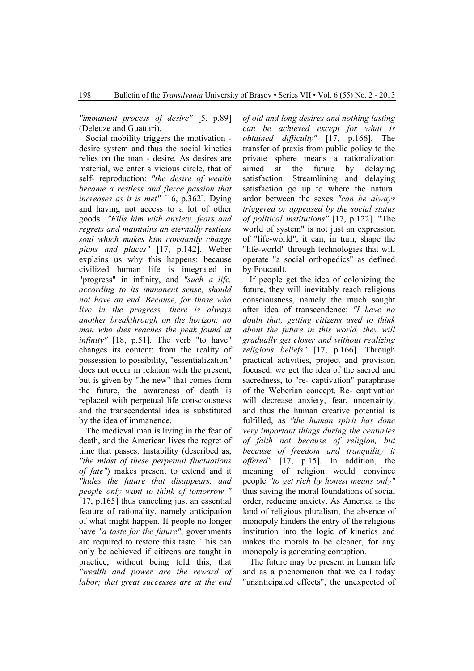*"immanent process of desire"* [5, p.89] (Deleuze and Guattari).

Social mobility triggers the motivation desire system and thus the social kinetics relies on the man - desire. As desires are material, we enter a vicious circle, that of self- reproduction: *"the desire of wealth became a restless and fierce passion that increases as it is met"* [16, p.362]. Dying and having not access to a lot of other goods *"Fills him with anxiety, fears and regrets and maintains an eternally restless soul which makes him constantly change plans and places"* [17, p.142]. Weber explains us why this happens: because civilized human life is integrated in "progress" in infinity, and *"such a life, according to its immanent sense, should not have an end. Because, for those who live in the progress, there is always another breakthrough on the horizon; no man who dies reaches the peak found at infinity"* [18, p.51]. The verb "to have" changes its content: from the reality of possession to possibility, "essentialization" does not occur in relation with the present, but is given by "the new" that comes from the future, the awareness of death is replaced with perpetual life consciousness and the transcendental idea is substituted by the idea of immanence.

The medieval man is living in the fear of death, and the American lives the regret of time that passes. Instability (described as, *"the midst of these perpetual fluctuations of fate"*) makes present to extend and it *"hides the future that disappears, and people only want to think of tomorrow "* [17, p.165] thus canceling just an essential feature of rationality, namely anticipation of what might happen. If people no longer have *"a taste for the future"*, governments are required to restore this taste. This can only be achieved if citizens are taught in practice, without being told this, that *"wealth and power are the reward of labor; that great successes are at the end* 

*of old and long desires and nothing lasting can be achieved except for what is obtained difficulty"* [17, p.166]. The transfer of praxis from public policy to the private sphere means a rationalization aimed at the future by delaying satisfaction. Streamlining and delaying satisfaction go up to where the natural ardor between the sexes *"can be always triggered or appeased by the social status of political institutions"* [17, p.122]. "The world of system" is not just an expression of "life-world", it can, in turn, shape the "life-world" through technologies that will operate "a social orthopedics" as defined by Foucault.

If people get the idea of colonizing the future, they will inevitably reach religious consciousness, namely the much sought after idea of transcendence: *"I have no doubt that, getting citizens used to think about the future in this world, they will gradually get closer and without realizing religious beliefs"* [17, p.166]. Through practical activities, project and provision focused, we get the idea of the sacred and sacredness, to "re- captivation" paraphrase of the Weberian concept. Re- captivation will decrease anxiety, fear, uncertainty, and thus the human creative potential is fulfilled, as *"the human spirit has done very important things during the centuries of faith not because of religion, but because of freedom and tranquility it offered"* [17, p.15]. In addition, the meaning of religion would convince people *"to get rich by honest means only"* thus saving the moral foundations of social order, reducing anxiety. As America is the land of religious pluralism, the absence of monopoly hinders the entry of the religious institution into the logic of kinetics and makes the morals to be cleaner, for any monopoly is generating corruption.

The future may be present in human life and as a phenomenon that we call today "unanticipated effects", the unexpected of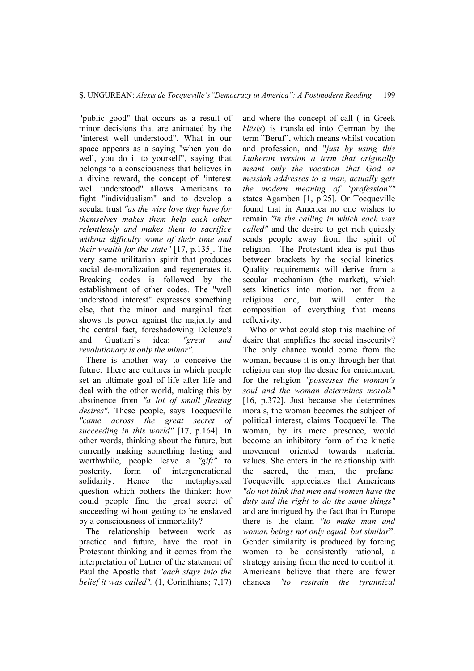"public good" that occurs as a result of minor decisions that are animated by the "interest well understood". What in our space appears as a saying "when you do well, you do it to yourself", saying that belongs to a consciousness that believes in a divine reward, the concept of "interest well understood" allows Americans to fight "individualism" and to develop a secular trust *"as the wise love they have for themselves makes them help each other relentlessly and makes them to sacrifice without difficulty some of their time and their wealth for the state"* [17, p.135]. The very same utilitarian spirit that produces social de-moralization and regenerates it. Breaking codes is followed by the establishment of other codes. The "well understood interest" expresses something else, that the minor and marginal fact shows its power against the majority and the central fact, foreshadowing Deleuze's and Guattari's idea: *"great and revolutionary is only the minor".*

There is another way to conceive the future. There are cultures in which people set an ultimate goal of life after life and deal with the other world, making this by abstinence from *"a lot of small fleeting desires"*. These people, says Tocqueville *"came across the great secret of succeeding in this world"* [17, p.164]. In other words, thinking about the future, but currently making something lasting and worthwhile, people leave a *"gift"* to posterity, form of intergenerational solidarity. Hence the metaphysical question which bothers the thinker: how could people find the great secret of succeeding without getting to be enslaved by a consciousness of immortality?

The relationship between work as practice and future, have the root in Protestant thinking and it comes from the interpretation of Luther of the statement of Paul the Apostle that *"each stays into the belief it was called".* (1, Corinthians; 7,17)

and where the concept of call ( in Greek *klēsis*) is translated into German by the term "Beruf", which means whilst vocation and profession, and "*just by using this Lutheran version a term that originally meant only the vocation that God or messiah addresses to a man, actually gets the modern meaning of "profession""* states Agamben [1, p.25]. Or Tocqueville found that in America no one wishes to remain *"in the calling in which each was called"* and the desire to get rich quickly sends people away from the spirit of religion. The Protestant idea is put thus between brackets by the social kinetics. Quality requirements will derive from a secular mechanism (the market), which sets kinetics into motion, not from a religious one, but will enter the composition of everything that means reflexivity.

Who or what could stop this machine of desire that amplifies the social insecurity? The only chance would come from the woman, because it is only through her that religion can stop the desire for enrichment, for the religion *"possesses the woman's soul and the woman determines morals"* [16, p.372]. Just because she determines morals, the woman becomes the subject of political interest, claims Tocqueville. The woman, by its mere presence, would become an inhibitory form of the kinetic movement oriented towards material values. She enters in the relationship with the sacred, the man, the profane. Tocqueville appreciates that Americans *"do not think that men and women have the duty and the right to do the same things"* and are intrigued by the fact that in Europe there is the claim *"to make man and woman beings not only equal, but similar*". Gender similarity is produced by forcing women to be consistently rational, a strategy arising from the need to control it. Americans believe that there are fewer chances *"to restrain the tyrannical*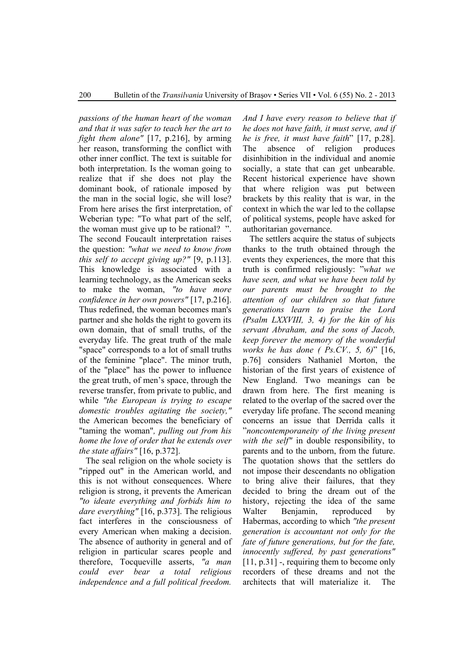*passions of the human heart of the woman and that it was safer to teach her the art to fight them alone"* [17, p.216], by arming her reason, transforming the conflict with other inner conflict. The text is suitable for both interpretation. Is the woman going to realize that if she does not play the dominant book, of rationale imposed by the man in the social logic, she will lose? From here arises the first interpretation, of Weberian type: "To what part of the self, the woman must give up to be rational? ". The second Foucault interpretation raises the question: *"what we need to know from this self to accept giving up?"* [9, p.113]. This knowledge is associated with a learning technology, as the American seeks to make the woman, *"to have more confidence in her own powers"* [17, p.216]. Thus redefined, the woman becomes man's partner and she holds the right to govern its own domain, that of small truths, of the everyday life. The great truth of the male "space" corresponds to a lot of small truths of the feminine "place". The minor truth, of the "place" has the power to influence the great truth, of men's space, through the reverse transfer, from private to public, and while *"the European is trying to escape domestic troubles agitating the society,"* the American becomes the beneficiary of "taming the woman"*, pulling out from his home the love of order that he extends over the state affairs"* [16, p.372].

The seal religion on the whole society is "ripped out" in the American world, and this is not without consequences. Where religion is strong, it prevents the American *"to ideate everything and forbids him to dare everything"* [16, p.373]. The religious fact interferes in the consciousness of every American when making a decision. The absence of authority in general and of religion in particular scares people and therefore, Tocqueville asserts, *"a man could ever bear a total religious independence and a full political freedom.* 

*And I have every reason to believe that if he does not have faith, it must serve, and if he is free, it must have faith*" [17, p.28]. The absence of religion produces disinhibition in the individual and anomie socially, a state that can get unbearable. Recent historical experience have shown that where religion was put between brackets by this reality that is war, in the context in which the war led to the collapse of political systems, people have asked for authoritarian governance.

The settlers acquire the status of subjects thanks to the truth obtained through the events they experiences, the more that this truth is confirmed religiously: "*what we have seen, and what we have been told by our parents must be brought to the attention of our children so that future generations learn to praise the Lord (Psalm LXXVIII, 3, 4) for the kin of his servant Abraham, and the sons of Jacob, keep forever the memory of the wonderful works he has done ( Ps.CV., 5, 6)*" [16, p.76] considers Nathaniel Morton, the historian of the first years of existence of New England. Two meanings can be drawn from here. The first meaning is related to the overlap of the sacred over the everyday life profane. The second meaning concerns an issue that Derrida calls it "*noncontemporaneity of the living present with the self"* in double responsibility, to parents and to the unborn, from the future. The quotation shows that the settlers do not impose their descendants no obligation to bring alive their failures, that they decided to bring the dream out of the history, rejecting the idea of the same Walter Benjamin, reproduced by Habermas, according to which *"the present generation is accountant not only for the fate of future generations, but for the fate, innocently suffered, by past generations"* [11, p.31] -, requiring them to become only recorders of these dreams and not the architects that will materialize it. The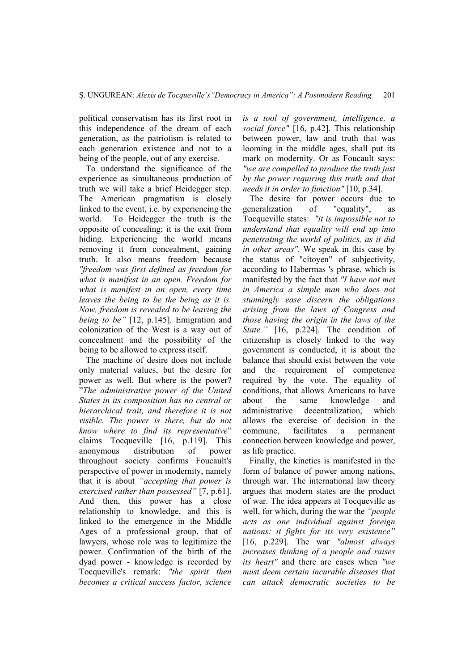political conservatism has its first root in this independence of the dream of each generation, as the patriotism is related to each generation existence and not to a being of the people, out of any exercise.

To understand the significance of the experience as simultaneous production of truth we will take a brief Heidegger step. The American pragmatism is closely linked to the event, i.e. by experiencing the world. To Heidegger the truth is the opposite of concealing; it is the exit from hiding. Experiencing the world means removing it from concealment, gaining truth. It also means freedom because *"freedom was first defined as freedom for what is manifest in an open. Freedom for what is manifest in an open, every time leaves the being to be the being as it is. Now, freedom is revealed to be leaving the being to be"* [12, p.145]. Emigration and colonization of the West is a way out of concealment and the possibility of the being to be allowed to express itself.

The machine of desire does not include only material values, but the desire for power as well. But where is the power? "*The administrative power of the United States in its composition has no central or hierarchical trait, and therefore it is not visible. The power is there, but do not know where to find its representative*" claims Tocqueville [16, p.119]. This anonymous distribution of power throughout society confirms Foucault's perspective of power in modernity, namely that it is about *"accepting that power is exercised rather than possessed"* [7, p.61]. And then, this power has a close relationship to knowledge, and this is linked to the emergence in the Middle Ages of a professional group, that of lawyers, whose role was to legitimize the power. Confirmation of the birth of the dyad power - knowledge is recorded by Tocqueville's remark: *"the spirit then becomes a critical success factor, science* 

*is a tool of government, intelligence, a social force"* [16, p.42]. This relationship between power, law and truth that was looming in the middle ages, shall put its mark on modernity. Or as Foucault says: *"we are compelled to produce the truth just by the power requiring this truth and that needs it in order to function"* [10, p.34].

The desire for power occurs due to generalization of "equality", as Tocqueville states: *"it is impossible not to understand that equality will end up into penetrating the world of politics, as it did in other areas"*. We speak in this case by the status of "citoyen" of subjectivity, according to Habermas 's phrase, which is manifested by the fact that *"I have not met in America a simple man who does not stunningly ease discern the obligations arising from the laws of Congress and those having the origin in the laws of the State."* [16, p.224]. The condition of citizenship is closely linked to the way government is conducted, it is about the balance that should exist between the vote and the requirement of competence required by the vote. The equality of conditions, that allows Americans to have about the same knowledge and administrative decentralization, which allows the exercise of decision in the commune, facilitates a permanent connection between knowledge and power, as life practice.

Finally, the kinetics is manifested in the form of balance of power among nations, through war. The international law theory argues that modern states are the product of war. The idea appears at Tocqueville as well, for which, during the war the *"people acts as one individual against foreign nations: it fights for its very existence"* [16, p.229]. The war *"almost always increases thinking of a people and raises its heart"* and there are cases when *"we must deem certain incurable diseases that can attack democratic societies to be*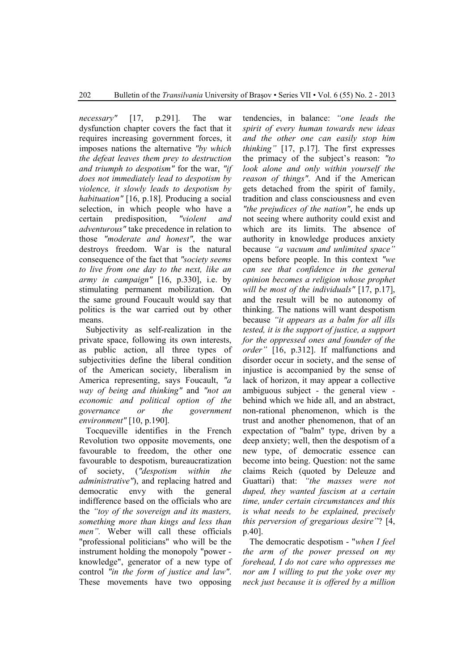*necessary"* [17, p.291]. The war dysfunction chapter covers the fact that it requires increasing government forces, it imposes nations the alternative *"by which the defeat leaves them prey to destruction and triumph to despotism"* for the war, *"if does not immediately lead to despotism by violence, it slowly leads to despotism by habituation"* [16, p.18]. Producing a social selection, in which people who have a certain predisposition, *"violent and adventurous"* take precedence in relation to those *"moderate and honest"*, the war destroys freedom. War is the natural consequence of the fact that *"society seems to live from one day to the next, like an army in campaign"* [16, p.330], i.e. by stimulating permanent mobilization. On the same ground Foucault would say that politics is the war carried out by other means.

Subjectivity as self-realization in the private space, following its own interests, as public action, all three types of subjectivities define the liberal condition of the American society, liberalism in America representing, says Foucault, *"a way of being and thinking"* and *"not an economic and political option of the governance or the government environment"* [10, p.190].

Tocqueville identifies in the French Revolution two opposite movements, one favourable to freedom, the other one favourable to despotism, bureaucratization of society, (*"despotism within the administrative"*), and replacing hatred and democratic envy with the general indifference based on the officials who are the *"toy of the sovereign and its masters, something more than kings and less than men".* Weber will call these officials "professional politicians" who will be the instrument holding the monopoly "power knowledge", generator of a new type of control *"in the form of justice and law"*. These movements have two opposing

tendencies, in balance: *"one leads the spirit of every human towards new ideas and the other one can easily stop him thinking"* [17, p.17]. The first expresses the primacy of the subject's reason: *"to look alone and only within yourself the reason of things"*. And if the American gets detached from the spirit of family, tradition and class consciousness and even *"the prejudices of the nation"*, he ends up not seeing where authority could exist and which are its limits. The absence of authority in knowledge produces anxiety because *"a vacuum and unlimited space"* opens before people. In this context *"we can see that confidence in the general opinion becomes a religion whose prophet will be most of the individuals"* [17, p.17], and the result will be no autonomy of thinking. The nations will want despotism because *"it appears as a balm for all ills tested, it is the support of justice, a support for the oppressed ones and founder of the order"* [16, p.312]. If malfunctions and disorder occur in society, and the sense of injustice is accompanied by the sense of lack of horizon, it may appear a collective ambiguous subject - the general view behind which we hide all, and an abstract, non-rational phenomenon, which is the trust and another phenomenon, that of an expectation of "balm" type, driven by a deep anxiety; well, then the despotism of a new type, of democratic essence can become into being. Question: not the same claims Reich (quoted by Deleuze and Guattari) that: *"the masses were not duped, they wanted fascism at a certain time, under certain circumstances and this is what needs to be explained, precisely this perversion of gregarious desire"*? [4, p.40].

The democratic despotism - "*when I feel the arm of the power pressed on my forehead, I do not care who oppresses me nor am I willing to put the yoke over my neck just because it is offered by a million*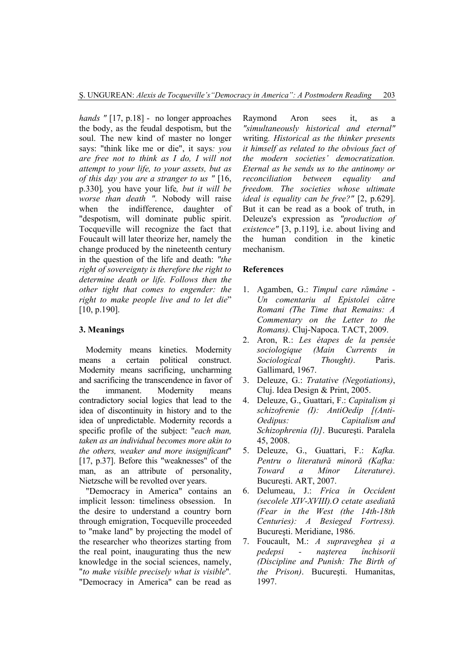*hands "* [17, p.18] - no longer approaches the body, as the feudal despotism, but the soul. The new kind of master no longer says: "think like me or die", it says*: you are free not to think as I do, I will not attempt to your life, to your assets, but as of this day you are a stranger to us "* [16, p.330]*,* you have your life*, but it will be worse than death "*. Nobody will raise when the indifference, daughter of "despotism, will dominate public spirit. Tocqueville will recognize the fact that Foucault will later theorize her, namely the change produced by the nineteenth century in the question of the life and death: *"the right of sovereignty is therefore the right to determine death or life. Follows then the other tight that comes to engender: the right to make people live and to let die*" [10, p.190].

# **3. Meanings**

Modernity means kinetics. Modernity means a certain political construct. Modernity means sacrificing, uncharming and sacrificing the transcendence in favor of the immanent. Modernity means contradictory social logics that lead to the idea of discontinuity in history and to the idea of unpredictable. Modernity records a specific profile of the subject: "*each man, taken as an individual becomes more akin to the others, weaker and more insignificant*" [17, p.37]. Before this "weaknesses" of the man, as an attribute of personality, Nietzsche will be revolted over years.

"Democracy in America" contains an implicit lesson: timeliness obsession. In the desire to understand a country born through emigration, Tocqueville proceeded to "make land" by projecting the model of the researcher who theorizes starting from the real point, inaugurating thus the new knowledge in the social sciences, namely, "*to make visible precisely what is visible*"*.* "Democracy in America" can be read as

Raymond Aron sees it, as a *"simultaneously historical and eternal"*  writing*. Historical as the thinker presents it himself as related to the obvious fact of the modern societies' democratization. Eternal as he sends us to the antinomy or reconciliation between equality and freedom. The societies whose ultimate ideal is equality can be free?"* [2, p.629]. But it can be read as a book of truth, in Deleuze's expression as *"production of existence"* [3, p.119], i.e. about living and the human condition in the kinetic mechanism.

## **References**

- 1. Agamben, G.: *Timpul care rămâne Un comentariu al Epistolei către Romani (The Time that Remains: A Commentary on the Letter to the Romans).* Cluj-Napoca. TACT, 2009.
- 2. Aron, R.: *Les étapes de la pensée sociologique (Main Currents in Sociological Thought)*. Paris. Gallimard, 1967.
- 3. Deleuze, G.: *Tratative (Negotiations)*, Cluj. Idea Design & Print, 2005.
- 4. Deleuze, G., Guattari, F.: *Capitalism şi schizofrenie (I): AntiOedip [(Anti-Oedipus: Capitalism and Schizophrenia (I)]*. Bucureşti. Paralela 45, 2008.
- 5. Deleuze, G., Guattari, F.: *Kafka. Pentru o literatură minoră (Kafka: Toward a Minor Literature)*. Bucureşti. ART, 2007.
- 6. Delumeau, J.: *Frica în Occident (secolele XIV-XVIII).O cetate asediată (Fear in the West (the 14th-18th Centuries): A Besieged Fortress).* Bucureşti. Meridiane, 1986.
- 7. Foucault, M.: *A supraveghea şi a pedepsi - naşterea închisorii (Discipline and Punish: The Birth of the Prison)*. Bucureşti. Humanitas, 1997.